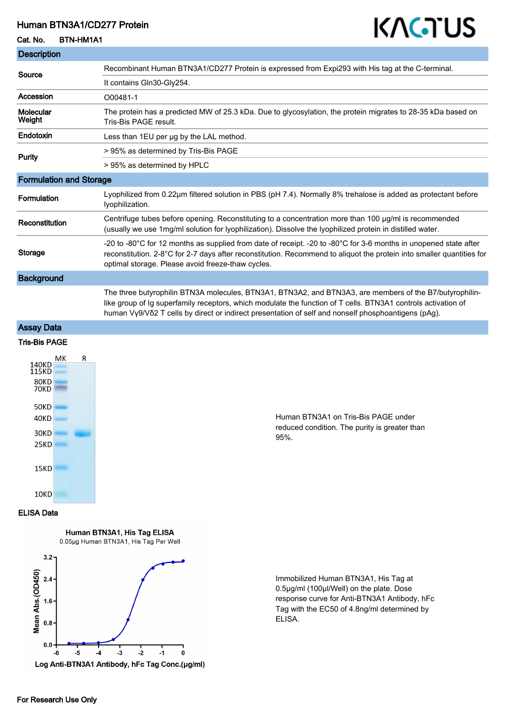## Human BTN3A1/CD277 Protein

### Cat. No. BTN-HM1A1

# KAGTUS

| <b>Description</b>             |                                                                                                                                                                                                                                                                                                                                 |
|--------------------------------|---------------------------------------------------------------------------------------------------------------------------------------------------------------------------------------------------------------------------------------------------------------------------------------------------------------------------------|
| Source                         | Recombinant Human BTN3A1/CD277 Protein is expressed from Expi293 with His tag at the C-terminal.                                                                                                                                                                                                                                |
|                                | It contains Gln30-Gly254.                                                                                                                                                                                                                                                                                                       |
| Accession                      | O00481-1                                                                                                                                                                                                                                                                                                                        |
| Molecular<br>Weight            | The protein has a predicted MW of 25.3 kDa. Due to glycosylation, the protein migrates to 28-35 kDa based on<br>Tris-Bis PAGF result.                                                                                                                                                                                           |
| Endotoxin                      | Less than 1EU per ug by the LAL method.                                                                                                                                                                                                                                                                                         |
| Purity                         | > 95% as determined by Tris-Bis PAGE                                                                                                                                                                                                                                                                                            |
|                                | > 95% as determined by HPLC                                                                                                                                                                                                                                                                                                     |
| <b>Formulation and Storage</b> |                                                                                                                                                                                                                                                                                                                                 |
| Formulation                    | Lyophilized from 0.22µm filtered solution in PBS (pH 7.4). Normally 8% trehalose is added as protectant before<br>lyophilization.                                                                                                                                                                                               |
| Reconstitution                 | Centrifuge tubes before opening. Reconstituting to a concentration more than 100 µg/ml is recommended<br>(usually we use 1mg/ml solution for lyophilization). Dissolve the lyophilized protein in distilled water.                                                                                                              |
| <b>Storage</b>                 | -20 to -80°C for 12 months as supplied from date of receipt. -20 to -80°C for 3-6 months in unopened state after<br>reconstitution. 2-8°C for 2-7 days after reconstitution. Recommend to aliquot the protein into smaller quantities for<br>optimal storage. Please avoid freeze-thaw cycles.                                  |
| <b>Background</b>              |                                                                                                                                                                                                                                                                                                                                 |
|                                | The three butyrophilin BTN3A molecules, BTN3A1, BTN3A2, and BTN3A3, are members of the B7/butyrophilin-<br>like group of Ig superfamily receptors, which modulate the function of T cells. BTN3A1 controls activation of<br>human Vy9/Vδ2 T cells by direct or indirect presentation of self and nonself phosphoantigens (pAg). |
| <b>Assay Data</b>              |                                                                                                                                                                                                                                                                                                                                 |
|                                |                                                                                                                                                                                                                                                                                                                                 |

#### Tris-Bis PAGE



Human BTN3A1 on Tris-Bis PAGE under reduced condition. The purity is greater than 95%.

#### ELISA Data

Human BTN3A1, His Tag ELISA 0.05µg Human BTN3A1, His Tag Per Well



Immobilized Human BTN3A1, His Tag at 0.5μg/ml (100μl/Well) on the plate. Dose response curve for Anti-BTN3A1 Antibody, hFc Tag with the EC50 of 4.8ng/ml determined by ELISA.